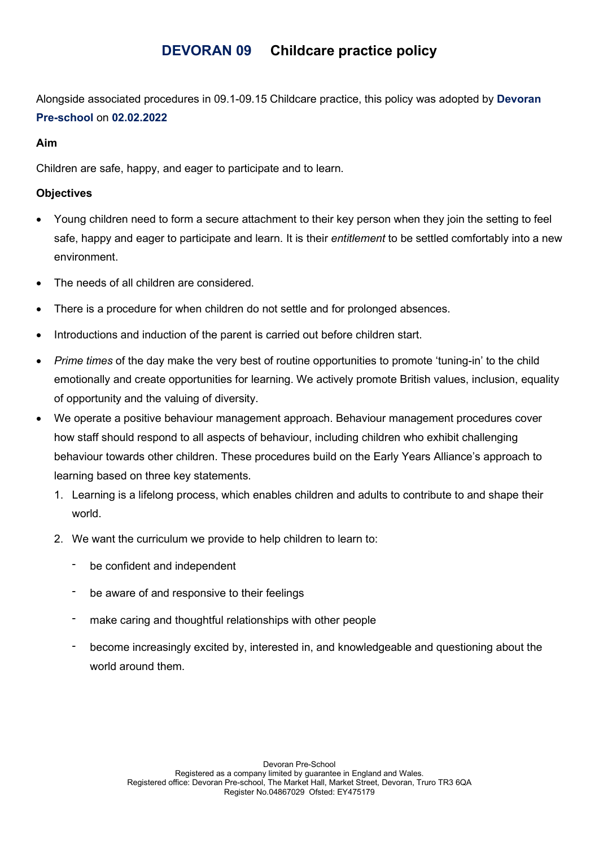# DEVORAN 09 Childcare practice policy

Alongside associated procedures in 09.1-09.15 Childcare practice, this policy was adopted by Devoran Pre-school on 02.02.2022

## Aim

Children are safe, happy, and eager to participate and to learn.

## **Objectives**

- Young children need to form a secure attachment to their key person when they join the setting to feel safe, happy and eager to participate and learn. It is their *entitlement* to be settled comfortably into a new environment.
- The needs of all children are considered.
- There is a procedure for when children do not settle and for prolonged absences.
- Introductions and induction of the parent is carried out before children start.
- Prime times of the day make the very best of routine opportunities to promote 'tuning-in' to the child emotionally and create opportunities for learning. We actively promote British values, inclusion, equality of opportunity and the valuing of diversity.
- We operate a positive behaviour management approach. Behaviour management procedures cover how staff should respond to all aspects of behaviour, including children who exhibit challenging behaviour towards other children. These procedures build on the Early Years Alliance's approach to learning based on three key statements.
	- 1. Learning is a lifelong process, which enables children and adults to contribute to and shape their world.
	- 2. We want the curriculum we provide to help children to learn to:
		- be confident and independent
		- be aware of and responsive to their feelings
		- make caring and thoughtful relationships with other people
		- become increasingly excited by, interested in, and knowledgeable and questioning about the world around them.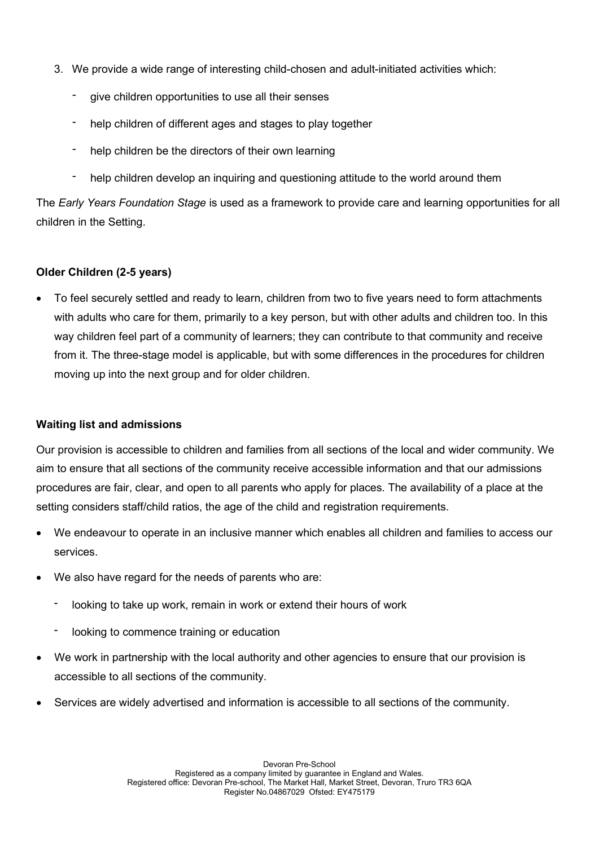- 3. We provide a wide range of interesting child-chosen and adult-initiated activities which:
	- give children opportunities to use all their senses
	- help children of different ages and stages to play together
	- help children be the directors of their own learning
	- help children develop an inquiring and questioning attitude to the world around them

The Early Years Foundation Stage is used as a framework to provide care and learning opportunities for all children in the Setting.

## Older Children (2-5 years)

 To feel securely settled and ready to learn, children from two to five years need to form attachments with adults who care for them, primarily to a key person, but with other adults and children too. In this way children feel part of a community of learners; they can contribute to that community and receive from it. The three-stage model is applicable, but with some differences in the procedures for children moving up into the next group and for older children.

#### Waiting list and admissions

Our provision is accessible to children and families from all sections of the local and wider community. We aim to ensure that all sections of the community receive accessible information and that our admissions procedures are fair, clear, and open to all parents who apply for places. The availability of a place at the setting considers staff/child ratios, the age of the child and registration requirements.

- We endeavour to operate in an inclusive manner which enables all children and families to access our services.
- We also have regard for the needs of parents who are:
	- looking to take up work, remain in work or extend their hours of work
	- looking to commence training or education
- We work in partnership with the local authority and other agencies to ensure that our provision is accessible to all sections of the community.
- Services are widely advertised and information is accessible to all sections of the community.